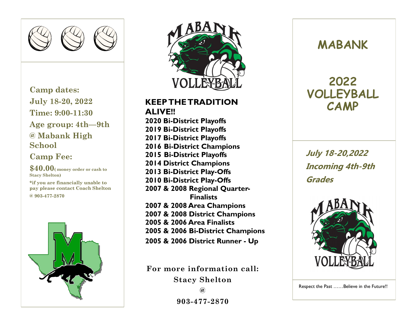

**Camp dates: July 18-20, 2022 Time: 9:00-11:30 Age group: 4th—9th @ Mabank High School**

## **Camp Fee:**

**\$40.00( money order or cash to Stacy Shelton)**

**\*if you are financially unable to pay please contact Coach Shelton @ 903-477-2870** 





**KEEP THE TRADITION ALIVE!! 2020 Bi-District Playoffs 2019 Bi-District Playoffs 2017 Bi-District Playoffs 2016 Bi-District Champions 2015 Bi-District Playoffs 2014 District Champions 2013 Bi-District Play-Offs 2010 Bi-District Play-Offs 2007 & 2008 Regional Quarter- Finalists 2007 & 2008 Area Champions 2007 & 2008 District Champions 2005 & 2006 Area Finalists 2005 & 2006 Bi-District Champions 2005 & 2006 District Runner - Up**

**For more information call: Stacy Shelton**

```
@
```
**903-477-2870**

## **MABANK**

## **2022 VOLLEYBALL CAMP**

**July 18-20,2022 Incoming 4th-9th Grades**



Respect the Past ……Believe in the Future!!